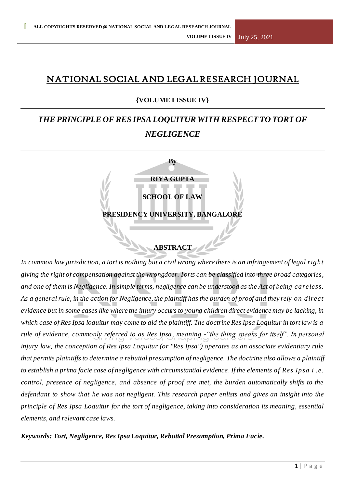## NATIONAL SOCIAL AND LEGAL RESEARCH JOURNAL

## **{VOLUME I ISSUE IV}**

## *THE PRINCIPLE OF RES IPSA LOQUITUR WITH RESPECT TO TORT OF NEGLIGENCE*

| By                               |
|----------------------------------|
| <b>RIYA GUPTA</b>                |
| <b>SCHOOL OF LAW</b>             |
| PRESIDENCY UNIVERSITY, BANGALORE |
|                                  |

# **ABSTRACT**

*In common law jurisdiction, a tort is nothing but a civil wrong where there is an infringement of legal right giving the right of compensation against the wrongdoer. Torts can be classified into three broad categories, and one of them is Negligence. In simple terms, negligence can be understood as the Act of being careless. As a general rule, in the action for Negligence, the plaintiff has the burden of proof and they rely on direct evidence but in some cases like where the injury occurs to young children direct evidence may be lacking, in which case of Res Ipsa loquitur may come to aid the plaintiff. The doctrine Res Ipsa Loquitur in tort law is a rule of evidence, commonly referred to as Res Ipsa, meaning -"the thing speaks for itself". In personal injury law, the conception of Res Ipsa Loquitur (or "Res Ipsa") operates as an associate evidentiary rule that permits plaintiffs to determine a rebuttal presumption of negligence. The doctrine also allows a plaintiff to establish a prima facie case of negligence with circumstantial evidence. If the elements of Res Ipsa i .e. control, presence of negligence, and absence of proof are met, the burden automatically shifts to the defendant to show that he was not negligent. This research paper enlists and gives an insight into the principle of Res Ipsa Loquitur for the tort of negligence, taking into consideration its meaning, essential elements, and relevant case laws.*

*Keywords: Tort, Negligence, Res Ipsa Loquitur, Rebuttal Presumption, Prima Facie.*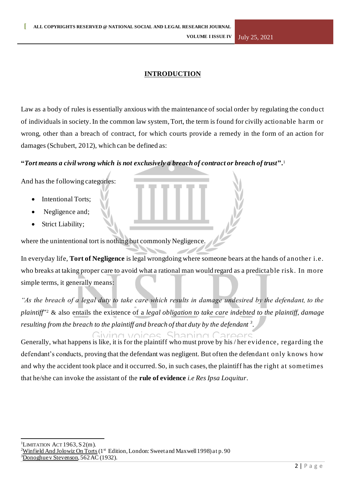## **INTRODUCTION**

Law as a body of rules is essentially anxious with the maintenance of social order by regulating the conduct of individuals in society. In the common law system, Tort, the term is found for civilly actionable harm or wrong, other than a breach of contract, for which courts provide a remedy in the form of an action for damages (Schubert, 2012), which can be defined as:

#### **"***Tort means a civil wrong which is not exclusively a breach of contract or breach of trust***".**<sup>1</sup>

And has the following categories:

- **Intentional Torts:**
- Negligence and;
- Strict Liability;

where the unintentional tort is nothing but commonly Negligence.

In everyday life, **Tort of Negligence** is legal wrongdoing where someone bears at the hands of another i.e. who breaks at taking proper care to avoid what a rational man would regard as a predictable risk. In more simple terms, it generally means:

"As the breach of a legal duty to take care which results in damage undesired by the defendant, to the *plaintiff*" <sup>2</sup> & also entails the existence of a *legal obligation to take care indebted to the plaintiff, damage*  resulting from the breach to the plaintiff and breach of that duty by the defendant <sup>3</sup>.

Giving voices, Shaping Careers Generally, what happens is like, it is for the plaintiff who must prove by his / her evidence, regarding the defendant's conducts, proving that the defendant was negligent. But often the defendant only knows how and why the accident took place and it occurred. So, in such cases, the plaintiff has the right at sometimes that he/she can invoke the assistant of the **rule of evidence** *i.e Res Ipsa Loquitur*.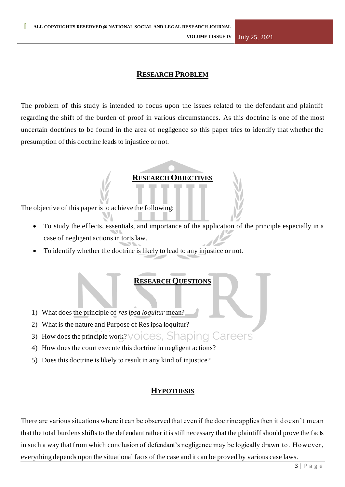## **RESEARCH PROBLEM**

The problem of this study is intended to focus upon the issues related to the defendant and plaintiff regarding the shift of the burden of proof in various circumstances. As this doctrine is one of the most uncertain doctrines to be found in the area of negligence so this paper tries to identify that whether the presumption of this doctrine leads to injustice or not.

#### **RESEARCH OBJECTIVES**

The objective of this paper is to achieve the following:

- To study the effects, essentials, and importance of the application of the principle especially in a case of negligent actions in torts law.
- To identify whether the doctrine is likely to lead to any injustice or not.

#### **RESEARCH QUESTIONS**

- 1) What does the principle of *res ipsa loquitur* mean?
- 2) What is the nature and Purpose of Res ipsa loquitur?
- 3) How does the principle work? VOICES, Shaping Careers
- 4) How does the court execute this doctrine in negligent actions?
- 5) Does this doctrine is likely to result in any kind of injustice?

#### **HYPOTHESIS**

There are various situations where it can be observed that even if the doctrine applies then it doesn't mean that the total burdens shifts to the defendant rather it is still necessary that the plaintiff should prove the facts in such a way that from which conclusion of defendant's negligence may be logically drawn to. However, everything depends upon the situational facts of the case and it can be proved by various case laws.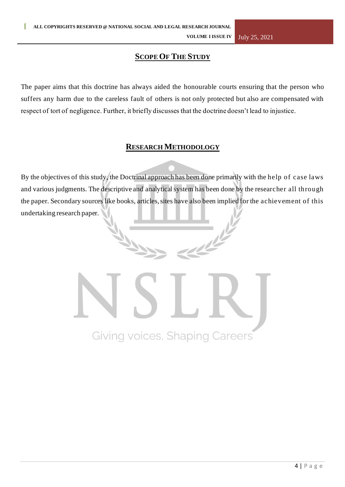## **SCOPE OF THE STUDY**

The paper aims that this doctrine has always aided the honourable courts ensuring that the person who suffers any harm due to the careless fault of others is not only protected but also are compensated with respect of tort of negligence. Further, it briefly discusses that the doctrine doesn't lead to injustice.

## **RESEARCH METHODOLOGY**

By the objectives of this study, the Doctrinal approach has been done primarily with the help of case laws and various judgments. The descriptive and analytical system has been done by the researcher all through the paper. Secondary sources like books, articles, sites have also been implied for the achievement of this undertaking research paper.

Giving voices, Shaping Careers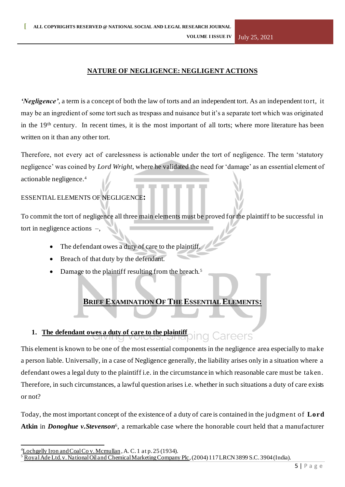## **NATURE OF NEGLIGENCE: NEGLIGENT ACTIONS**

*'Negligence'*, a term is a concept of both the law of torts and an independent tort. As an independent tort, it may be an ingredient of some tort such as trespass and nuisance but it's a separate tort which was originated in the 19th century. In recent times, it is the most important of all torts; where more literature has been written on it than any other tort.

Therefore, not every act of carelessness is actionable under the tort of negligence. The term 'statutory negligence' was coined by *Lord Wright*, where he validated the need for 'damage' as an essential element of actionable negligence.<sup>4</sup>

#### ESSENTIAL ELEMENTS OF NEGLIGENCE**:**

To commit the tort of negligence all three main elements must be proved for the plaintiff to be successful in tort in negligence actions –,

- The defendant owes a duty of care to the plaintiff.
- Breach of that duty by the defendant.
- Damage to the plaintiff resulting from the breach.<sup>5</sup>

## **BRIEF EXAMINATION OF THE ESSENTIAL ELEMENTS:**

#### **1. The defendant owes a duty of care to the plaintiff** Careers dulla.<br>Note

This element is known to be one of the most essential components in the negligence area especially to make a person liable. Universally, in a case of Negligence generally, the liability arises only in a situation where a defendant owes a legal duty to the plaintiff i.e. in the circumstance in which reasonable care must be taken. Therefore, in such circumstances, a lawful question arises i.e. whether in such situations a duty of care exists or not?

Today, the most important concept of the existence of a duty of care is contained in the judgment of **Lord**  Atkin in *Donoghue v.Stevenson*<sup>6</sup>, a remarkable case where the honorable court held that a manufacturer

 $\frac{4}{1}$ Lochgelly Iron and Coal Co v. Mcmullan, A. C. 1 at p. 25 (1934).

<sup>5</sup> Royal Ade Ltd. v. National Oil and Chemical Marketing Company Plc, (2004) 117 LRCN 3899 S.C. 3904 (India).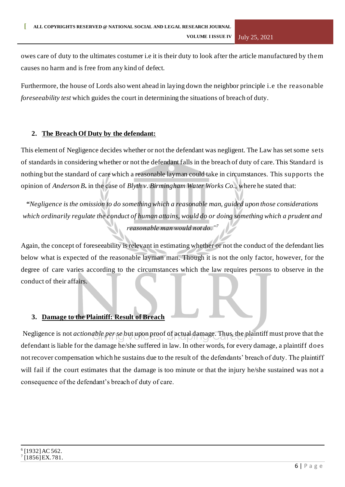owes care of duty to the ultimates costumer i.e it is their duty to look after the article manufactured by them causes no harm and is free from any kind of defect.

Furthermore, the house of Lords also went ahead in laying down the neighbor principle i.e the reasonable *foreseeability test* which guides the court in determining the situations of breach of duty.

## **2. The Breach Of Duty by the defendant:**

This element of Negligence decides whether or not the defendant was negligent. The Law has set some sets of standards in considering whether or not the defendant falls in the breach of duty of care. This Standard is nothing but the standard of care which a reasonable layman could take in circumstances. This supports the opinion of *Anderson B***.** in the case of *Blyth v. Birmingham Water Works Co.,* where he stated that:

*"Negligence is the omission to do something which a reasonable man, guided upon those considerations which ordinarily regulate the conduct of human attains, would do or doing something which a prudent and reasonable man would not do."<sup>7</sup>*

Again, the concept of foreseeability is relevant in estimating whether or not the conduct of the defendant lies below what is expected of the reasonable layman man. Though it is not the only factor, however, for the degree of care varies according to the circumstances which the law requires persons to observe in the conduct of their affairs.

#### **3. Damage to the Plaintiff: Result of Breach**

Negligence is not *actionable per se* but upon proof of actual damage. Thus, the plaintiff must prove that the defendant is liable for the damage he/she suffered in law. In other words, for every damage, a plaintiff does not recover compensation which he sustains due to the result of the defendants' breach of duty. The plaintiff will fail if the court estimates that the damage is too minute or that the injury he/she sustained was not a consequence of the defendant's breach of duty of care.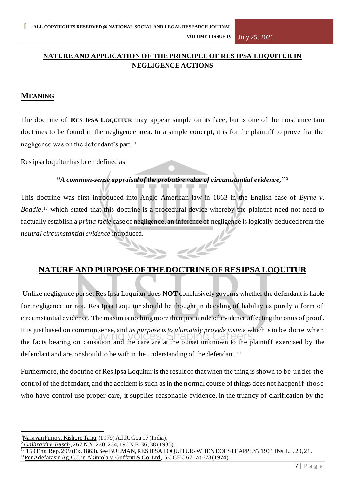## **NATURE AND APPLICATION OF THE PRINCIPLE OF RES IPSA LOQUITUR IN NEGLIGENCE ACTIONS**

## **MEANING**

The doctrine of **RES IPSA LOQUITUR** may appear simple on its face, but is one of the most uncertain doctrines to be found in the negligence area. In a simple concept, it is for the plaintiff to prove that the negligence was on the defendant's part. <sup>8</sup>

Res ipsa loquitur has been defined as:

#### **"***A common-sense appraisal of the probative value of circumstantial evidence,***" <sup>9</sup>**

This doctrine was first introduced into Anglo-American law in 1863 in the English case of *Byrne v. Boadle*. <sup>10</sup> which stated that this doctrine is a procedural device whereby the plaintiff need not need to factually establish a *prima facie* case of negligence, an inference of negligence is logically deduced from the *neutral circumstantial evidence* introduced. alle

## **NATURE AND PURPOSEOF THEDOCTRINEOF RESIPSA LOQUITUR**

Unlike negligence per se, Res Ipsa Loquitur does **NOT** conclusively governs whether the defendant is liable for negligence or not. Res Ipsa Loquitur should be thought in deciding of liability as purely a form of circumstantial evidence. The maxim is nothing more than just a rule of evidence affecting the onus of proof. It is just based on common sense, and *its purpose is to ultimately provide justice* which is to be done when the facts bearing on causation and the care are at the outset unknown to the plaintiff exercised by the defendant and are, or should to be within the understanding of the defendant. <sup>11</sup>

Furthermore, the doctrine of Res Ipsa Loquitur is the result of that when the thing is shown to be under the control of the defendant, and the accident is such as in the normal course of things does not happen if those who have control use proper care, it supplies reasonable evidence, in the truancy of clarification by the

<sup>8</sup>Narayan Puno v. Kishore Tanu*,*(1979) A.I.R. Goa 17 (India).

*<sup>9</sup> Galbraith v. Busch* , 267 N.Y. 230, 234, 196 N.E. 36, 38 (1935).

<sup>10</sup> 159 Eng. Rep. 299 (Ex. 1863). See BULMAN, RES IPSA LOQUITUR-WHEN DOES IT APPLY? 1961 INs. L.J. 20, 21.

<sup>&</sup>lt;sup>11</sup>Per Adefarasin Ag. C.J. in Akintola v. Guffanti & Co. Ltd.. 5 CCHC 671 at 673 (1974).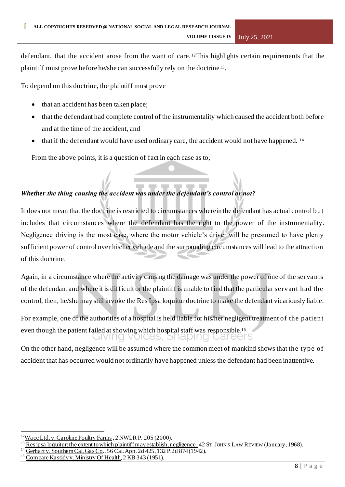defendant, that the accident arose from the want of care. <sup>12</sup>This highlights certain requirements that the plaintiff must prove before he/she can successfully rely on the doctrine <sup>13</sup> .

To depend on this doctrine, the plaintiff must prove

- that an accident has been taken place;
- that the defendant had complete control of the instrumentality which caused the accident both before and at the time of the accident, and
- that if the defendant would have used ordinary care, the accident would not have happened. <sup>14</sup>

From the above points, it is a question of fact in each case as to,

## *Whether the thing causing the accident was under the defendant's control or not?*

It does not mean that the doctrine is restricted to circumstances wherein the defendant has actual control but includes that circumstances where the defendant has the right to the power of the instrumentality. Negligence driving is the most case, where the motor vehicle's driver will be presumed to have plenty sufficient power of control over his/her vehicle and the surrounding circumstances will lead to the attraction of this doctrine.

Again, in a circumstance where the activity causing the damage was under the power of one of the servants of the defendant and where it is difficult or the plaintiff is unable to find that the particular servant had the control, then, he/she may still invoke the Res Ipsa loquitur doctrine to make the defendant vicariously liable.

For example, one of the authorities of a hospital is held liable for his/her negligent treatment of the patient even though the patient failed at showing which hospital staff was responsible.<sup>15</sup> alving voices, Snaping Careers

On the other hand, negligence will be assumed where the common meet of mankind shows that the type of accident that has occurred would not ordinarily have happened unless the defendant had been inattentive.

 $12$ Wacc Ltd. v. Caroline Poultry Farms, 2 NWLR P. 205 (2000).

<sup>&</sup>lt;sup>13</sup> Res ipsa loquitur: the extent to which plaintiff may establish, negligence, 42 ST. JOHN'S LAW REVIEW (January, 1968).

<sup>14</sup> Gerhart v. Southern Cal. Gas Co*.,* 56 Cal. App. 2d 425, 132 P.2d 874 (1942).

Compare Kassidy v. Ministry Of Health, 2 KB 343 (1951).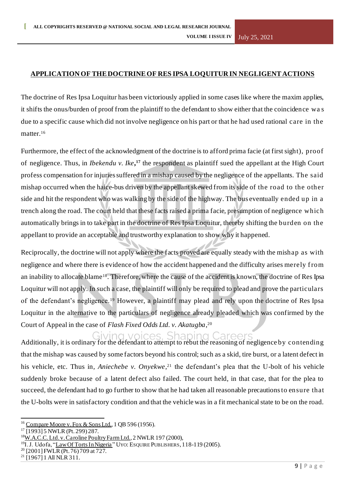## **APPLICATIONOF THEDOCTRINEOF RES IPSA LOQUITUR IN NEGLIGENTACTIONS**

The doctrine of Res Ipsa Loquitur has been victoriously applied in some cases like where the maxim applies, it shifts the onus/burden of proof from the plaintiff to the defendant to show either that the coincidence wa s due to a specific cause which did not involve negligence on his part or that he had used rational care in the matter.<sup>16</sup>

Furthermore, the effect of the acknowledgment of the doctrine is to afford prima facie (at first sight), proof of negligence. Thus, in *Ibekendu v. Ike***, <sup>17</sup>** the respondent as plaintiff sued the appellant at the High Court profess compensation for injuries suffered in a mishap caused by the negligence of the appellants. The said mishap occurred when the haice-bus driven by the appellant skewed from its side of the road to the other side and hit the respondent who was walking by the side of the highway. The bus eventually ended up in a trench along the road. The court held that these facts raised a prima facie, presumption of negligence which automatically brings in to take part in the doctrine of Res Ipsa Loquitur, thereby shifting the burden on the appellant to provide an acceptable and trustworthy explanation to show why it happened.

Reciprocally, the doctrine will not apply where the facts proved are equally steady with the mishap as with negligence and where there is evidence of how the accident happened and the difficulty arises merely f rom an inability to allocate blame18. Therefore, where the cause of the accident is known, the doctrine of Res Ipsa Loquitur will not apply. In such a case, the plaintiff will only be required to plead and prove the particulars of the defendant's negligence.<sup>19</sup> However, a plaintiff may plead and rely upon the doctrine of Res Ipsa Loquitur in the alternative to the particulars of negligence already pleaded which was confirmed by the Court of Appeal in the case of *Flash Fixed Odds Ltd. v. Akatugba*, 20

Giving voices. Shaping Careers Additionally, it is ordinary for the defendant to attempt to rebut the reasoning of negligence by contending that the mishap was caused by some factors beyond his control; such as a skid, tire burst, or a latent defect in his vehicle, etc. Thus in*, Aniechebe v. Onyekwe*, <sup>21</sup> the defendant's plea that the U-bolt of his vehicle suddenly broke because of a latent defect also failed. The court held, in that case, that for the plea to succeed, the defendant had to go further to show that he had taken all reasonable precautions to ensure that the U-bolts were in satisfactory condition and that the vehicle was in a fit mechanical state to be on the road.

<sup>&</sup>lt;sup>16</sup> Compare Moore v. Fox & Sons Ltd., 1 QB 596 (1956).

<sup>17</sup> [1993] 5 NWLR (Pt. 299) 287.

<sup>&</sup>lt;sup>18</sup>W.A.C.C. Ltd. v. Caroline Poultry Farm Ltd., 2 NWLR 197 (2000),

<sup>&</sup>lt;sup>19</sup>I.J. Udofa, "Law Of Torts In Nigeria" Uyo: Esquire Publishers, 118-119 (2005).

 $20$  [2001] FWLR (Pt. 76) 709 at 727.

 $^{21}$  [1967] 1 All NLR 311.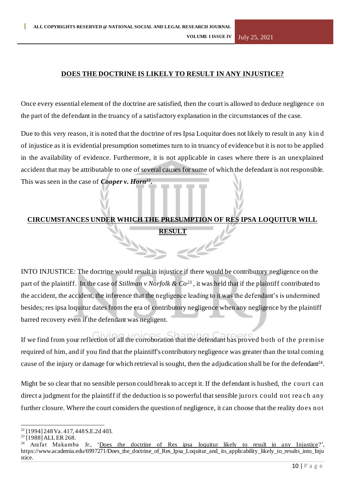## **DOES THE DOCTRINE IS LIKELY TO RESULT IN ANY INJUSTICE?**

Once every essential element of the doctrine are satisfied, then the court is allowed to deduce negligence on the part of the defendant in the truancy of a satisfactory explanation in the circumstances of the case.

Due to this very reason, it is noted that the doctrine of res Ipsa Loquitur does not likely to result in any kin d of injustice as it is evidential presumption sometimes turn to in truancy of evidence but it is not to be applied in the availability of evidence. Furthermore, it is not applicable in cases where there is an unexplained accident that may be attributable to one of several causes for some of which the defendant is not responsible. This was seen in the case of *Cooper v. Horn<sup>22</sup> .*

## **CIRCUMSTANCES UNDER WHICH THE PRESUMPTION OF RES IPSA LOQUITUR WILL RESULT**

INTO INJUSTICE: The doctrine would result in injustice if there would be contributory negligence on the part of the plaintiff. In the case of *Stillman v Norfolk & Co<sup>23</sup>* , it was held that if the plaintiff contributed to the accident, the accident, the inference that the negligence leading to it was the defendant's is undermined besides; res ipsa loquitur dates from the era of contributory negligence when any negligence by the plaintiff barred recovery even if the defendant was negligent.

If we find from your reflection of all the corroboration that the defendant has proved both of the premise required of him, and if you find that the plaintiff's contributory negligence was greater than the total coming cause of the injury or damage for which retrieval is sought, then the adjudication shall be for the defendant<sup>24</sup>.

Might be so clear that no sensible person could break to accept it. If the defendant is hushed, the court can direct a judgment for the plaintiff if the deduction is so powerful that sensible jurors could not rea ch any further closure. Where the court considers the question of negligence, it can choose that the reality does not

<sup>22</sup> [1994] 248 Va. 417, 448 S.E.2d 403.

<sup>&</sup>lt;sup>23</sup> [1988] ALL ER 268.

Arafat Makamba Jr., 'Does the doctrine of Res ipsa loquitur likely to result in any Injustice?', https://www.academia.edu/6997271/Does\_the\_doctrine\_of\_Res\_Ipsa\_Loquitur\_and\_its\_applicability\_likely\_to\_results\_into\_Inju stice.